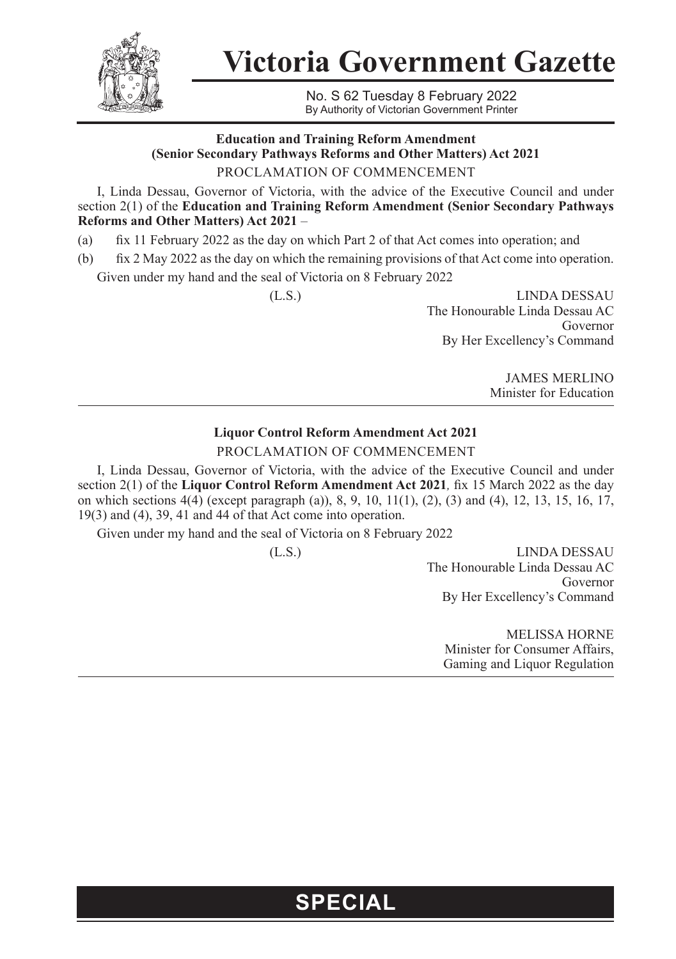

**Victoria Government Gazette**

No. S 62 Tuesday 8 February 2022 By Authority of Victorian Government Printer

#### **Education and Training Reform Amendment (Senior Secondary Pathways Reforms and Other Matters) Act 2021** PROCLAMATION OF COMMENCEMENT

I, Linda Dessau, Governor of Victoria, with the advice of the Executive Council and under section 2(1) of the **Education and Training Reform Amendment (Senior Secondary Pathways Reforms and Other Matters) Act 2021** –

(a) fix 11 February 2022 as the day on which Part 2 of that Act comes into operation; and

(b) fix 2 May 2022 as the day on which the remaining provisions of that Act come into operation.

Given under my hand and the seal of Victoria on 8 February 2022

(L.S.) LINDA DESSAU The Honourable Linda Dessau AC Governor By Her Excellency's Command

> JAMES MERLINO Minister for Education

### **Liquor Control Reform Amendment Act 2021** PROCLAMATION OF COMMENCEMENT

I, Linda Dessau, Governor of Victoria, with the advice of the Executive Council and under section 2(1) of the **Liquor Control Reform Amendment Act 2021***,* fix 15 March 2022 as the day on which sections 4(4) (except paragraph (a)), 8, 9, 10, 11(1), (2), (3) and (4), 12, 13, 15, 16, 17, 19(3) and (4), 39, 41 and 44 of that Act come into operation.

Given under my hand and the seal of Victoria on 8 February 2022

(L.S.) LINDA DESSAU The Honourable Linda Dessau AC Governor By Her Excellency's Command

> MELISSA HORNE Minister for Consumer Affairs, Gaming and Liquor Regulation

## **SPECIAL**